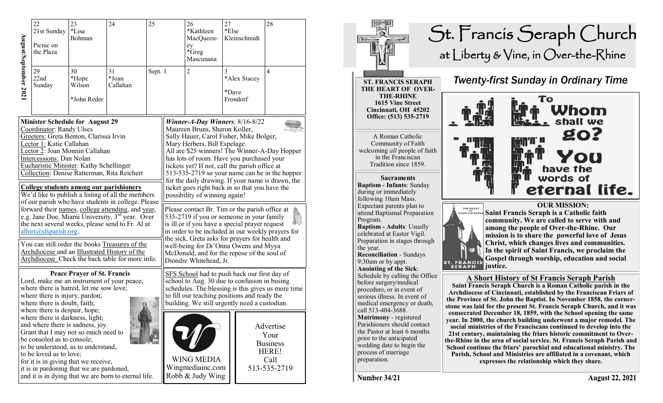|                                                                                                                                                                                                                                                                                                                                                                                                                                                                                                                                                                                                                                                  | 22<br>21st Sunday<br>Picnic on<br>the Plaza                                                                                                                                                                                    | 23<br>24<br>*Lisa<br>Bohman                                                                                                                                                                         |                                                                                                                                                     | 25      |                                                                                                                                                                                                                                                                                                                                                                                                                                                                                                                                                                                                                                                                                                                                                    | 26<br>27<br>*Kathleen<br>*Else<br>Kleinschmidt<br>MacQueen-<br>ey<br>*Greg<br>Mascunana |                                        |  | 28                                                                    |  |
|--------------------------------------------------------------------------------------------------------------------------------------------------------------------------------------------------------------------------------------------------------------------------------------------------------------------------------------------------------------------------------------------------------------------------------------------------------------------------------------------------------------------------------------------------------------------------------------------------------------------------------------------------|--------------------------------------------------------------------------------------------------------------------------------------------------------------------------------------------------------------------------------|-----------------------------------------------------------------------------------------------------------------------------------------------------------------------------------------------------|-----------------------------------------------------------------------------------------------------------------------------------------------------|---------|----------------------------------------------------------------------------------------------------------------------------------------------------------------------------------------------------------------------------------------------------------------------------------------------------------------------------------------------------------------------------------------------------------------------------------------------------------------------------------------------------------------------------------------------------------------------------------------------------------------------------------------------------------------------------------------------------------------------------------------------------|-----------------------------------------------------------------------------------------|----------------------------------------|--|-----------------------------------------------------------------------|--|
| August/September 202                                                                                                                                                                                                                                                                                                                                                                                                                                                                                                                                                                                                                             | 29<br>22nd<br>Sunday                                                                                                                                                                                                           | 30<br>*Hope<br>Wilson<br>*John Reder                                                                                                                                                                | 31<br>*Joan<br>Callahan                                                                                                                             | Sept. 1 |                                                                                                                                                                                                                                                                                                                                                                                                                                                                                                                                                                                                                                                                                                                                                    | $\overline{2}$                                                                          | 3<br>*Alex Stacey<br>*Dave<br>Frondorf |  | $\overline{4}$                                                        |  |
| <b>Minister Schedule for August 29</b><br>Coordinator: Randy Ulses<br>Greeters: Greta Benton, Clarissa Irvin<br>Lector 1: Katie Callahan<br>Lector 2: Joan Monnin Callahan<br>Intercessions: Dan Nolan<br>Eucharistic Minister: Kathy Schellinger<br>Collection: Denise Ratterman, Rita Reichert<br>College students among our parishioners<br>We'd like to publish a listing of all the members<br>of our parish who have students in college. Please<br>forward their names, college attending, and year,<br>e.g. Jane Doe, Miami University, 3rd year. Over<br>the next several weeks, please send to Fr. Al at<br>$alhirt(@sfsparish.org)$ . |                                                                                                                                                                                                                                |                                                                                                                                                                                                     |                                                                                                                                                     |         | Winner-A-Day Winners: $8/16 - 8/22$<br>Maureen Bruns, Sharon Koller,<br>Sally Hauer, Carol Fisher, Mike Bolger,<br>Mary Herbers, Bill Espelage.<br>All are \$25 winners! The Winner-A-Day Hopper<br>has lots of room. Have you purchased your<br>tickets yet? If not, call the parish office at<br>513-535-2719 so your name can be in the hopper<br>for the daily drawing. If your name is drawn, the<br>ticket goes right back in so that you have the<br>possibility of winning again!<br>Please contact Br. Tim or the parish office at<br>535-2719 if you or someone in your family<br>is ill or if you have a special prayer request<br>in order to be included in our weekly prayers for<br>the sick. Greta asks for prayers for health and |                                                                                         |                                        |  |                                                                       |  |
|                                                                                                                                                                                                                                                                                                                                                                                                                                                                                                                                                                                                                                                  |                                                                                                                                                                                                                                |                                                                                                                                                                                                     | You can still order the books Treasures of the<br>Archdiocese and an Illustrated History of the<br>Archdiocese. Check the back table for more info. |         | well-being for Di'Onna Owens and Myya<br>McDonald, and for the repose of the soul of<br>Diondre Whitehead, Jr.                                                                                                                                                                                                                                                                                                                                                                                                                                                                                                                                                                                                                                     |                                                                                         |                                        |  |                                                                       |  |
|                                                                                                                                                                                                                                                                                                                                                                                                                                                                                                                                                                                                                                                  | <b>Peace Prayer of St. Francis</b><br>Lord, make me an instrument of your peace;<br>where there is hatred, let me sow love;<br>where there is injury, pardon;<br>where there is doubt, faith;<br>where there is despair, hope; |                                                                                                                                                                                                     |                                                                                                                                                     |         | SFS School had to push back our first day of<br>school to Aug. 30 due to confusion in busing<br>schedules. The blessing is this gives us more time<br>to fill our teaching positions and ready the<br>building. We still urgently need a custodian.                                                                                                                                                                                                                                                                                                                                                                                                                                                                                                |                                                                                         |                                        |  |                                                                       |  |
|                                                                                                                                                                                                                                                                                                                                                                                                                                                                                                                                                                                                                                                  | where there is darkness, light;<br>be consoled as to console;<br>to be loved as to love;                                                                                                                                       | and where there is sadness, joy.<br>Grant that I may not so much need to<br>to be understood, as to understand,<br>for it is in giving that we receive,<br>it is in pardoning that we are pardoned, | and it is in dying that we are born to eternal life.                                                                                                |         |                                                                                                                                                                                                                                                                                                                                                                                                                                                                                                                                                                                                                                                                                                                                                    | <b>WING MEDIA</b><br>Wingmediainc.com<br>Robb & Judy Wing                               |                                        |  | Advertise<br>Your<br><b>Business</b><br>HERE!<br>Call<br>513-535-2719 |  |